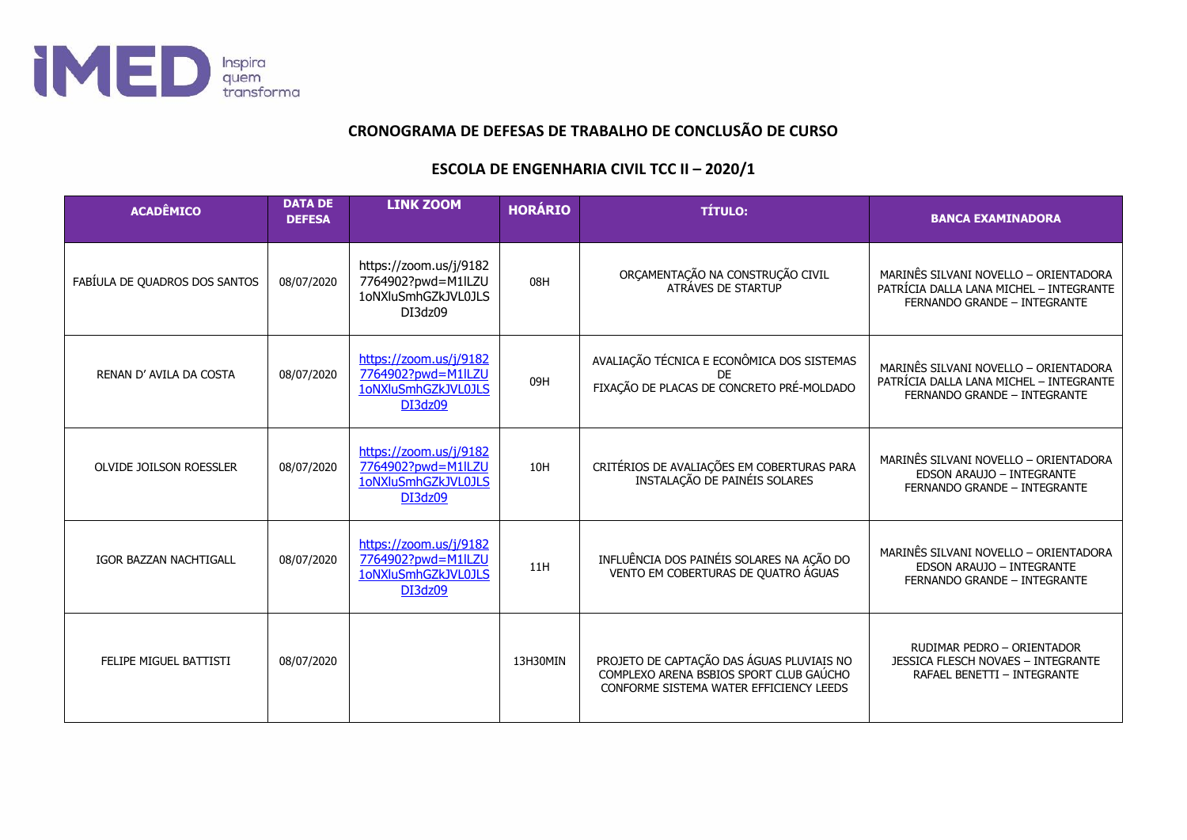

## **CRONOGRAMA DE DEFESAS DE TRABALHO DE CONCLUSÃO DE CURSO**

## **ESCOLA DE ENGENHARIA CIVIL TCC II – 2020/1**

| <b>ACADÊMICO</b>              | <b>DATA DE</b><br><b>DEFESA</b> | <b>LINK ZOOM</b>                                                                      | <b>HORÁRIO</b> | <b>TÍTULO:</b>                                                                                                                  | <b>BANCA EXAMINADORA</b>                                                                                         |
|-------------------------------|---------------------------------|---------------------------------------------------------------------------------------|----------------|---------------------------------------------------------------------------------------------------------------------------------|------------------------------------------------------------------------------------------------------------------|
| FABÍULA DE QUADROS DOS SANTOS | 08/07/2020                      | https://zoom.us/j/9182<br>7764902?pwd=M1lLZU<br>1oNXluSmhGZkJVL0JLS<br>DI3dz09        | 08H            | ORÇAMENTAÇÃO NA CONSTRUÇÃO CIVIL<br>ATRÁVES DE STARTUP                                                                          | MARINÊS SILVANI NOVELLO - ORIENTADORA<br>PATRÍCIA DALLA LANA MICHEL - INTEGRANTE<br>FERNANDO GRANDE - INTEGRANTE |
| RENAN D' AVILA DA COSTA       | 08/07/2020                      | https://zoom.us/j/9182<br>7764902?pwd=M1ILZU<br>1oNXluSmhGZkJVL0JLS<br><b>DI3dz09</b> | 09H            | AVALIAÇÃO TÉCNICA E ECONÔMICA DOS SISTEMAS<br>DE.<br>FIXAÇÃO DE PLACAS DE CONCRETO PRÉ-MOLDADO                                  | MARINÊS SILVANI NOVELLO - ORIENTADORA<br>PATRÍCIA DALLA LANA MICHEL - INTEGRANTE<br>FERNANDO GRANDE - INTEGRANTE |
| OLVIDE JOILSON ROESSLER       | 08/07/2020                      | https://zoom.us/j/9182<br>7764902?pwd=M1ILZU<br>1oNXluSmhGZkJVL0JLS<br>DI3dz09        | 10H            | CRITÉRIOS DE AVALIAÇÕES EM COBERTURAS PARA<br>INSTALAÇÃO DE PAINÉIS SOLARES                                                     | MARINÊS SILVANI NOVELLO - ORIENTADORA<br>EDSON ARAUJO - INTEGRANTE<br>FERNANDO GRANDE - INTEGRANTE               |
| IGOR BAZZAN NACHTIGALL        | 08/07/2020                      | https://zoom.us/j/9182<br>7764902?pwd=M1lLZU<br>1oNXluSmhGZkJVL0JLS<br>DI3dz09        | 11H            | INFLUÊNCIA DOS PAINÉIS SOLARES NA AÇÃO DO<br>VENTO EM COBERTURAS DE QUATRO ÁGUAS                                                | MARINÊS SILVANI NOVELLO - ORIENTADORA<br>EDSON ARAUJO - INTEGRANTE<br>FERNANDO GRANDE - INTEGRANTE               |
| FELIPE MIGUEL BATTISTI        | 08/07/2020                      |                                                                                       | 13H30MIN       | PROJETO DE CAPTAÇÃO DAS ÁGUAS PLUVIAIS NO<br>COMPLEXO ARENA BSBIOS SPORT CLUB GAÚCHO<br>CONFORME SISTEMA WATER EFFICIENCY LEEDS | RUDIMAR PEDRO - ORIENTADOR<br><b>JESSICA FLESCH NOVAES - INTEGRANTE</b><br>RAFAEL BENETTI - INTEGRANTE           |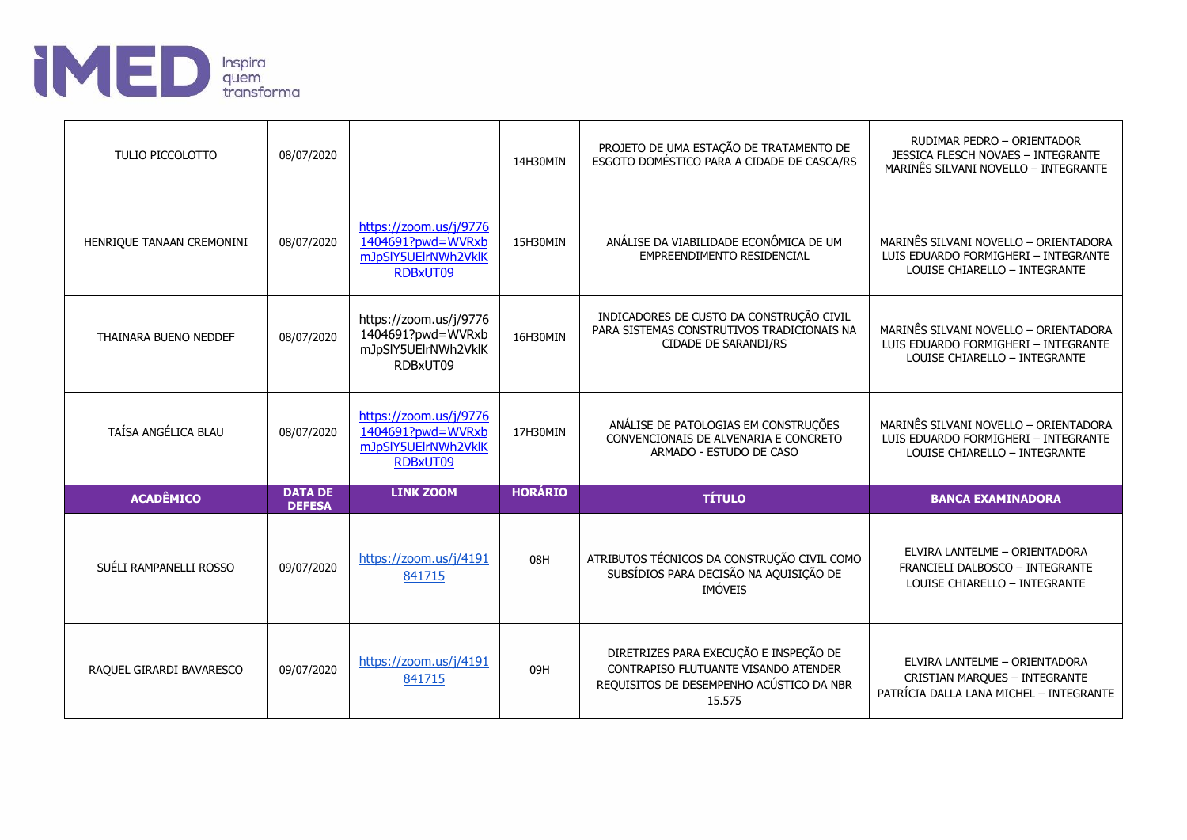

| TULIO PICCOLOTTO          | 08/07/2020                      |                                                                                | 14H30MIN       | PROJETO DE UMA ESTAÇÃO DE TRATAMENTO DE<br>ESGOTO DOMÉSTICO PARA A CIDADE DE CASCA/RS                                                | RUDIMAR PEDRO - ORIENTADOR<br><b>JESSICA FLESCH NOVAES - INTEGRANTE</b><br>MARINÊS SILVANI NOVELLO - INTEGRANTE  |
|---------------------------|---------------------------------|--------------------------------------------------------------------------------|----------------|--------------------------------------------------------------------------------------------------------------------------------------|------------------------------------------------------------------------------------------------------------------|
| HENRIQUE TANAAN CREMONINI | 08/07/2020                      | https://zoom.us/j/9776<br>1404691?pwd=WVRxb<br>mJpSIY5UEIrNWh2VklK<br>RDBxUT09 | 15H30MIN       | ANÁLISE DA VIABILIDADE ECONÔMICA DE UM<br>EMPREENDIMENTO RESIDENCIAL                                                                 | MARINÊS SILVANI NOVELLO - ORIENTADORA<br>LUIS EDUARDO FORMIGHERI - INTEGRANTE<br>LOUISE CHIARELLO - INTEGRANTE   |
| THAINARA BUENO NEDDEF     | 08/07/2020                      | https://zoom.us/j/9776<br>1404691?pwd=WVRxb<br>mJpSIY5UEIrNWh2VklK<br>RDBxUT09 | 16H30MIN       | INDICADORES DE CUSTO DA CONSTRUÇÃO CIVIL<br>PARA SISTEMAS CONSTRUTIVOS TRADICIONAIS NA<br><b>CIDADE DE SARANDI/RS</b>                | MARINÊS SILVANI NOVELLO - ORIENTADORA<br>LUIS EDUARDO FORMIGHERI - INTEGRANTE<br>LOUISE CHIARELLO - INTEGRANTE   |
| TAÍSA ANGÉLICA BLAU       | 08/07/2020                      | https://zoom.us/j/9776<br>1404691?pwd=WVRxb<br>mJpSIY5UElrNWh2VklK<br>RDBxUT09 | 17H30MIN       | ANÁLISE DE PATOLOGIAS EM CONSTRUÇÕES<br>CONVENCIONAIS DE ALVENARIA E CONCRETO<br>ARMADO - ESTUDO DE CASO                             | MARINÊS SILVANI NOVELLO - ORIENTADORA<br>LUIS EDUARDO FORMIGHERI - INTEGRANTE<br>LOUISE CHIARELLO - INTEGRANTE   |
| <b>ACADÊMICO</b>          | <b>DATA DE</b><br><b>DEFESA</b> | <b>LINK ZOOM</b>                                                               | <b>HORÁRIO</b> | <b>TÍTULO</b>                                                                                                                        | <b>BANCA EXAMINADORA</b>                                                                                         |
| SUÉLI RAMPANELLI ROSSO    | 09/07/2020                      | https://zoom.us/j/4191<br>841715                                               | 08H            | ATRIBUTOS TÉCNICOS DA CONSTRUÇÃO CIVIL COMO<br>SUBSÍDIOS PARA DECISÃO NA AQUISIÇÃO DE<br><b>IMÓVEIS</b>                              | ELVIRA LANTELME - ORIENTADORA<br>FRANCIELI DALBOSCO - INTEGRANTE<br>LOUISE CHIARELLO - INTEGRANTE                |
| RAQUEL GIRARDI BAVARESCO  | 09/07/2020                      | https://zoom.us/j/4191<br>841715                                               | 09H            | DIRETRIZES PARA EXECUÇÃO E INSPEÇÃO DE<br>CONTRAPISO FLUTUANTE VISANDO ATENDER<br>REQUISITOS DE DESEMPENHO ACÚSTICO DA NBR<br>15.575 | ELVIRA LANTELME - ORIENTADORA<br><b>CRISTIAN MARQUES - INTEGRANTE</b><br>PATRÍCIA DALLA LANA MICHEL - INTEGRANTE |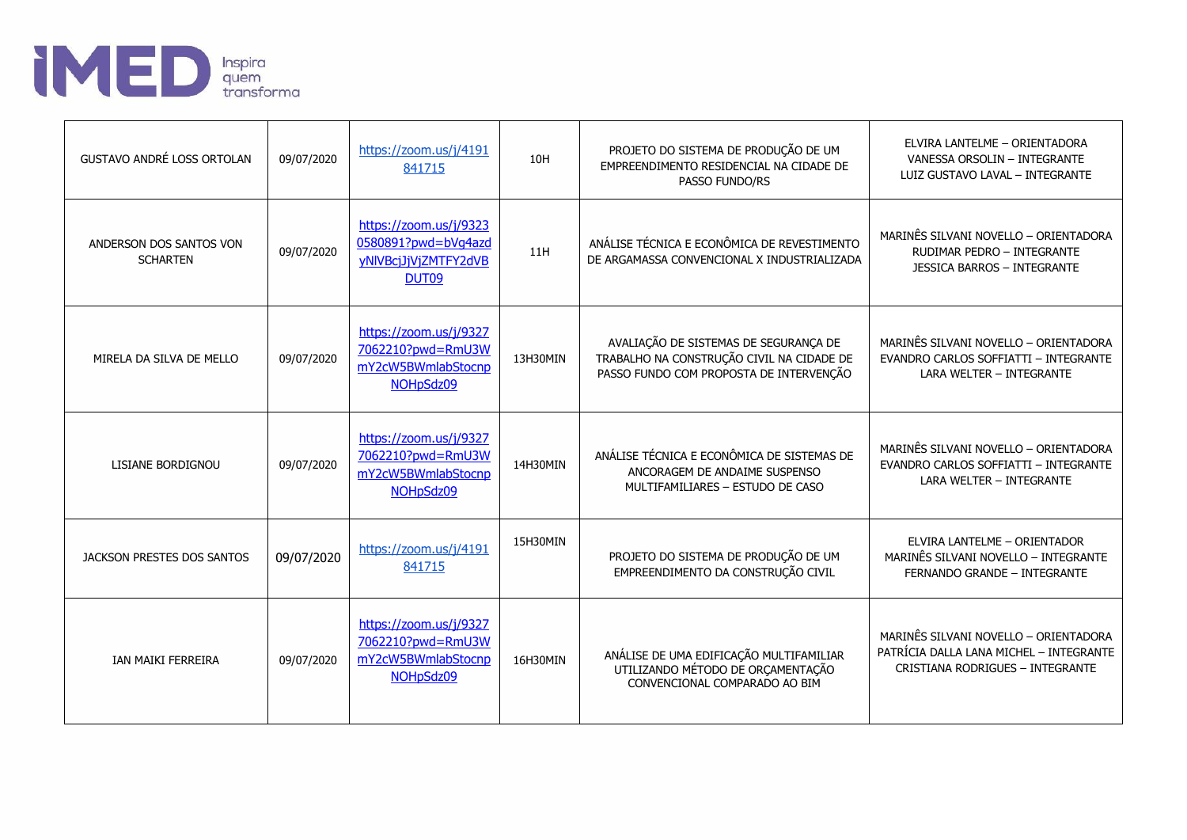

| GUSTAVO ANDRÉ LOSS ORTOLAN                 | 09/07/2020 | https://zoom.us/j/4191<br>841715                                                           | 10H      | PROJETO DO SISTEMA DE PRODUÇÃO DE UM<br>EMPREENDIMENTO RESIDENCIAL NA CIDADE DE<br>PASSO FUNDO/RS                             | ELVIRA LANTELME - ORIENTADORA<br>VANESSA ORSOLIN - INTEGRANTE<br>LUIZ GUSTAVO LAVAL - INTEGRANTE                            |
|--------------------------------------------|------------|--------------------------------------------------------------------------------------------|----------|-------------------------------------------------------------------------------------------------------------------------------|-----------------------------------------------------------------------------------------------------------------------------|
| ANDERSON DOS SANTOS VON<br><b>SCHARTEN</b> | 09/07/2020 | https://zoom.us/j/9323<br>0580891?pwd=bVq4azd<br>yNIVBcjJjVjZMTFY2dVB<br>DUT <sub>09</sub> | 11H      | ANÁLISE TÉCNICA E ECONÔMICA DE REVESTIMENTO<br>DE ARGAMASSA CONVENCIONAL X INDUSTRIALIZADA                                    | MARINÊS SILVANI NOVELLO - ORIENTADORA<br>RUDIMAR PEDRO - INTEGRANTE<br><b>JESSICA BARROS - INTEGRANTE</b>                   |
| MIRELA DA SILVA DE MELLO                   | 09/07/2020 | https://zoom.us/j/9327<br>7062210?pwd=RmU3W<br>mY2cW5BWmlabStocnp<br>NOHpSdz09             | 13H30MIN | AVALIAÇÃO DE SISTEMAS DE SEGURANÇA DE<br>TRABALHO NA CONSTRUÇÃO CIVIL NA CIDADE DE<br>PASSO FUNDO COM PROPOSTA DE INTERVENÇÃO | MARINÊS SILVANI NOVELLO - ORIENTADORA<br>EVANDRO CARLOS SOFFIATTI - INTEGRANTE<br>LARA WELTER - INTEGRANTE                  |
| <b>LISIANE BORDIGNOU</b>                   | 09/07/2020 | https://zoom.us/j/9327<br>7062210?pwd=RmU3W<br>mY2cW5BWmlabStocnp<br>NOHpSdz09             | 14H30MIN | ANÁLISE TÉCNICA E ECONÔMICA DE SISTEMAS DE<br>ANCORAGEM DE ANDAIME SUSPENSO<br>MULTIFAMILIARES - ESTUDO DE CASO               | MARINÊS SILVANI NOVELLO - ORIENTADORA<br>EVANDRO CARLOS SOFFIATTI - INTEGRANTE<br><b>LARA WELTER - INTEGRANTE</b>           |
| JACKSON PRESTES DOS SANTOS                 | 09/07/2020 | https://zoom.us/j/4191<br>841715                                                           | 15H30MIN | PROJETO DO SISTEMA DE PRODUÇÃO DE UM<br>EMPREENDIMENTO DA CONSTRUÇÃO CIVIL                                                    | ELVIRA LANTELME - ORIENTADOR<br>MARINÊS SILVANI NOVELLO - INTEGRANTE<br>FERNANDO GRANDE - INTEGRANTE                        |
| IAN MAIKI FERREIRA                         | 09/07/2020 | https://zoom.us/j/9327<br>7062210?pwd=RmU3W<br>mY2cW5BWmlabStocnp<br>NOHpSdz09             | 16H30MIN | ANÁLISE DE UMA EDIFICAÇÃO MULTIFAMILIAR<br>UTILIZANDO MÉTODO DE ORÇAMENTAÇÃO<br>CONVENCIONAL COMPARADO AO BIM                 | MARINÊS SILVANI NOVELLO - ORIENTADORA<br>PATRÍCIA DALLA LANA MICHEL - INTEGRANTE<br><b>CRISTIANA RODRIGUES - INTEGRANTE</b> |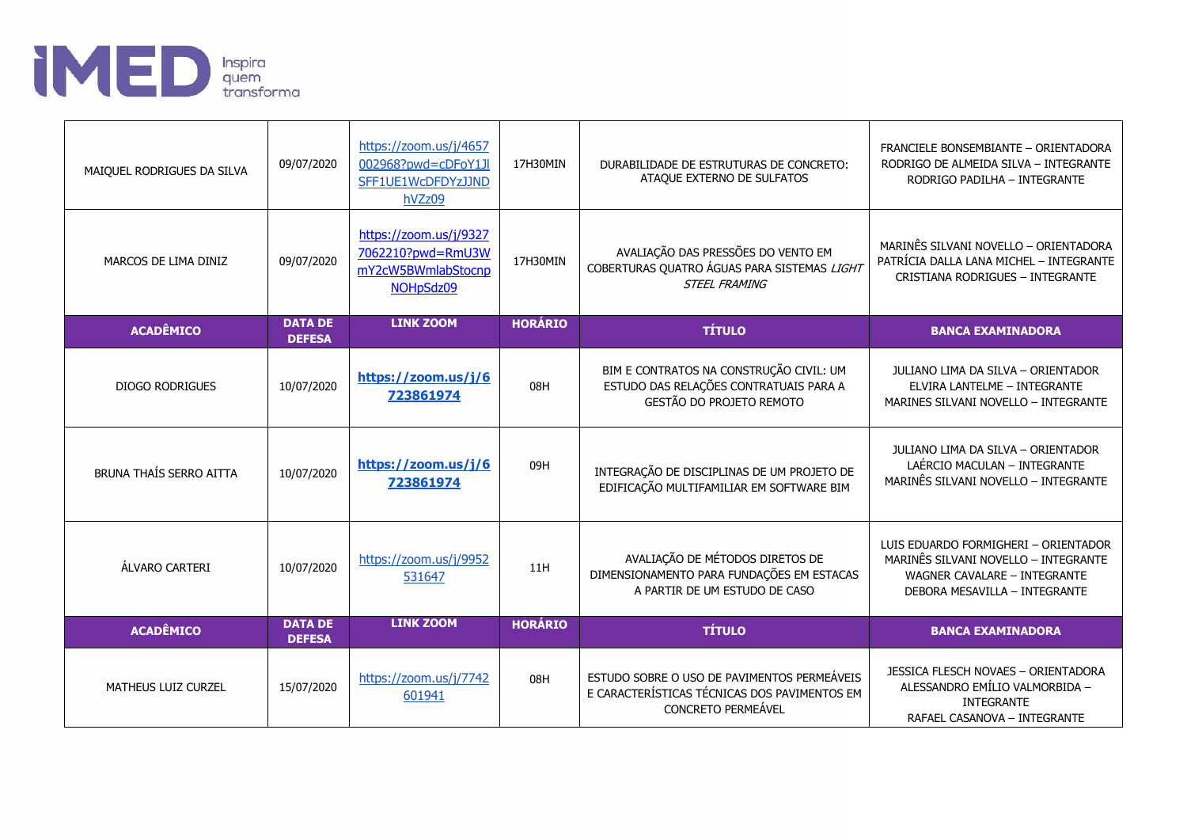

| MAIQUEL RODRIGUES DA SILVA     | 09/07/2020                      | https://zoom.us/j/4657<br>002968?pwd=cDFoY1Jl<br>SFF1UE1WcDFDYzJJND<br>hVZz09  | 17H30MIN       | DURABILIDADE DE ESTRUTURAS DE CONCRETO:<br>ATAQUE EXTERNO DE SULFATOS                                             | FRANCIELE BONSEMBIANTE - ORIENTADORA<br>RODRIGO DE ALMEIDA SILVA - INTEGRANTE<br>RODRIGO PADILHA - INTEGRANTE                                 |
|--------------------------------|---------------------------------|--------------------------------------------------------------------------------|----------------|-------------------------------------------------------------------------------------------------------------------|-----------------------------------------------------------------------------------------------------------------------------------------------|
| MARCOS DE LIMA DINIZ           | 09/07/2020                      | https://zoom.us/j/9327<br>7062210?pwd=RmU3W<br>mY2cW5BWmlabStocnp<br>NOHpSdz09 | 17H30MIN       | AVALIAÇÃO DAS PRESSÕES DO VENTO EM<br>COBERTURAS QUATRO ÁGUAS PARA SISTEMAS LIGHT<br>STEEL FRAMING                | MARINÊS SILVANI NOVELLO - ORIENTADORA<br>PATRÍCIA DALLA LANA MICHEL - INTEGRANTE<br><b>CRISTIANA RODRIGUES - INTEGRANTE</b>                   |
| <b>ACADÊMICO</b>               | <b>DATA DE</b><br><b>DEFESA</b> | <b>LINK ZOOM</b>                                                               | <b>HORÁRIO</b> | <b>TÍTULO</b>                                                                                                     | <b>BANCA EXAMINADORA</b>                                                                                                                      |
| <b>DIOGO RODRIGUES</b>         | 10/07/2020                      | https://zoom.us/j/6<br>723861974                                               | 08H            | BIM E CONTRATOS NA CONSTRUÇÃO CIVIL: UM<br>ESTUDO DAS RELAÇÕES CONTRATUAIS PARA A<br>GESTÃO DO PROJETO REMOTO     | JULIANO LIMA DA SILVA - ORIENTADOR<br>ELVIRA LANTELME - INTEGRANTE<br>MARINES SILVANI NOVELLO - INTEGRANTE                                    |
| <b>BRUNA THAÍS SERRO AITTA</b> | 10/07/2020                      | https://zoom.us/j/6<br>723861974                                               | 09H            | INTEGRAÇÃO DE DISCIPLINAS DE UM PROJETO DE<br>EDIFICAÇÃO MULTIFAMILIAR EM SOFTWARE BIM                            | JULIANO LIMA DA SILVA - ORIENTADOR<br>LAÉRCIO MACULAN - INTEGRANTE<br>MARINÊS SILVANI NOVELLO - INTEGRANTE                                    |
| ÁLVARO CARTERI                 | 10/07/2020                      | https://zoom.us/j/9952<br>531647                                               | 11H            | AVALIAÇÃO DE MÉTODOS DIRETOS DE<br>DIMENSIONAMENTO PARA FUNDAÇÕES EM ESTACAS<br>A PARTIR DE UM ESTUDO DE CASO     | LUIS EDUARDO FORMIGHERI - ORIENTADOR<br>MARINÊS SILVANI NOVELLO - INTEGRANTE<br>WAGNER CAVALARE - INTEGRANTE<br>DEBORA MESAVILLA - INTEGRANTE |
| <b>ACADÊMICO</b>               | <b>DATA DE</b><br><b>DEFESA</b> | <b>LINK ZOOM</b>                                                               | <b>HORÁRIO</b> | <b>TÍTULO</b>                                                                                                     | <b>BANCA EXAMINADORA</b>                                                                                                                      |
| MATHEUS LUIZ CURZEL            | 15/07/2020                      | https://zoom.us/j/7742<br>601941                                               | 08H            | ESTUDO SOBRE O USO DE PAVIMENTOS PERMEÁVEIS<br>E CARACTERÍSTICAS TÉCNICAS DOS PAVIMENTOS EM<br>CONCRETO PERMEÁVEL | <b>JESSICA FLESCH NOVAES - ORIENTADORA</b><br>ALESSANDRO EMÍLIO VALMORBIDA -<br><b>INTEGRANTE</b><br>RAFAEL CASANOVA - INTEGRANTE             |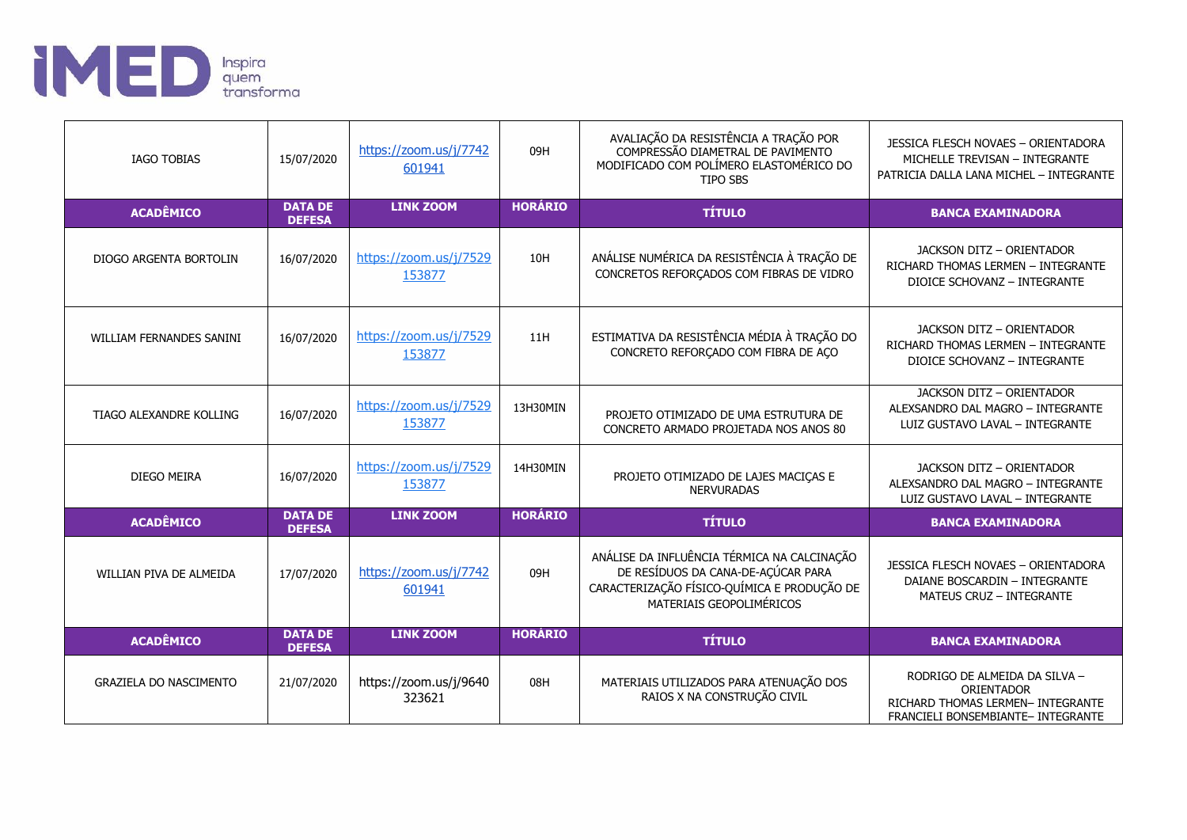

| <b>IAGO TOBIAS</b>              | 15/07/2020                      | https://zoom.us/j/7742<br>601941 | 09H            | AVALIAÇÃO DA RESISTÊNCIA A TRAÇÃO POR<br>COMPRESSÃO DIAMETRAL DE PAVIMENTO<br>MODIFICADO COM POLÍMERO ELASTOMÉRICO DO<br>TIPO SBS                            | JESSICA FLESCH NOVAES - ORIENTADORA<br>MICHELLE TREVISAN - INTEGRANTE<br>PATRICIA DALLA LANA MICHEL - INTEGRANTE       |
|---------------------------------|---------------------------------|----------------------------------|----------------|--------------------------------------------------------------------------------------------------------------------------------------------------------------|------------------------------------------------------------------------------------------------------------------------|
| <b>ACADÊMICO</b>                | <b>DATA DE</b><br><b>DEFESA</b> | <b>LINK ZOOM</b>                 | <b>HORÁRIO</b> | <b>TÍTULO</b>                                                                                                                                                | <b>BANCA EXAMINADORA</b>                                                                                               |
| DIOGO ARGENTA BORTOLIN          | 16/07/2020                      | https://zoom.us/j/7529<br>153877 | 10H            | ANÁLISE NUMÉRICA DA RESISTÊNCIA À TRAÇÃO DE<br>CONCRETOS REFORÇADOS COM FIBRAS DE VIDRO                                                                      | JACKSON DITZ - ORIENTADOR<br>RICHARD THOMAS LERMEN - INTEGRANTE<br>DIOICE SCHOVANZ - INTEGRANTE                        |
| <b>WILLIAM FERNANDES SANINI</b> | 16/07/2020                      | https://zoom.us/j/7529<br>153877 | 11H            | ESTIMATIVA DA RESISTÊNCIA MÉDIA À TRAÇÃO DO<br>CONCRETO REFORÇADO COM FIBRA DE AÇO                                                                           | JACKSON DITZ - ORIENTADOR<br>RICHARD THOMAS LERMEN - INTEGRANTE<br>DIOICE SCHOVANZ - INTEGRANTE                        |
| TIAGO ALEXANDRE KOLLING         | 16/07/2020                      | https://zoom.us/j/7529<br>153877 | 13H30MIN       | PROJETO OTIMIZADO DE UMA ESTRUTURA DE<br>CONCRETO ARMADO PROJETADA NOS ANOS 80                                                                               | JACKSON DITZ - ORIENTADOR<br>ALEXSANDRO DAL MAGRO - INTEGRANTE<br>LUIZ GUSTAVO LAVAL - INTEGRANTE                      |
| DIEGO MEIRA                     | 16/07/2020                      | https://zoom.us/j/7529<br>153877 | 14H30MIN       | PROJETO OTIMIZADO DE LAJES MACIÇAS E<br><b>NERVURADAS</b>                                                                                                    | JACKSON DITZ - ORIENTADOR<br>ALEXSANDRO DAL MAGRO - INTEGRANTE<br>LUIZ GUSTAVO LAVAL - INTEGRANTE                      |
| <b>ACADÊMICO</b>                | <b>DATA DE</b><br><b>DEFESA</b> | <b>LINK ZOOM</b>                 | <b>HORÁRIO</b> | <b>TÍTULO</b>                                                                                                                                                | <b>BANCA EXAMINADORA</b>                                                                                               |
| WILLIAN PIVA DE ALMEIDA         | 17/07/2020                      | https://zoom.us/j/7742<br>601941 | 09H            | ANÁLISE DA INFLUÊNCIA TÉRMICA NA CALCINAÇÃO<br>DE RESÍDUOS DA CANA-DE-AÇÚCAR PARA<br>CARACTERIZAÇÃO FÍSICO-QUÍMICA E PRODUÇÃO DE<br>MATERIAIS GEOPOLIMÉRICOS | <b>JESSICA FLESCH NOVAES - ORIENTADORA</b><br>DAIANE BOSCARDIN - INTEGRANTE<br><b>MATEUS CRUZ - INTEGRANTE</b>         |
| <b>ACADÊMICO</b>                | <b>DATA DE</b><br><b>DEFESA</b> | <b>LINK ZOOM</b>                 | <b>HORÁRIO</b> | <b>TÍTULO</b>                                                                                                                                                | <b>BANCA EXAMINADORA</b>                                                                                               |
| <b>GRAZIELA DO NASCIMENTO</b>   | 21/07/2020                      | https://zoom.us/j/9640<br>323621 | 08H            | MATERIAIS UTILIZADOS PARA ATENUAÇÃO DOS<br>RAIOS X NA CONSTRUÇÃO CIVIL                                                                                       | RODRIGO DE ALMEIDA DA SILVA -<br>ORIENTADOR<br>RICHARD THOMAS LERMEN- INTEGRANTE<br>FRANCIELI BONSEMBIANTE- INTEGRANTE |